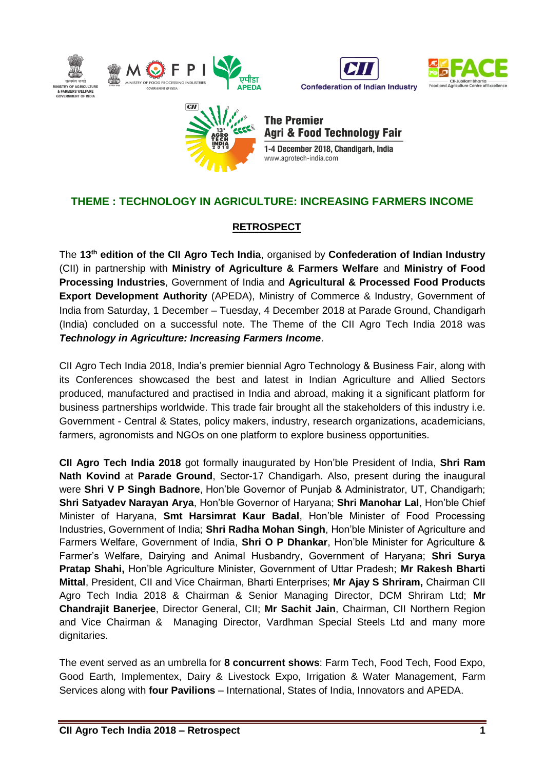





**The Premier Agri & Food Technology Fair** 1-4 December 2018, Chandigarh, India www.agrotech-india.com

# **THEME : TECHNOLOGY IN AGRICULTURE: INCREASING FARMERS INCOME**

#### **RETROSPECT**

The **13 th edition of the CII Agro Tech India**, organised by **Confederation of Indian Industry** (CII) in partnership with **Ministry of Agriculture & Farmers Welfare** and **Ministry of Food Processing Industries**, Government of India and **Agricultural & Processed Food Products Export Development Authority** (APEDA), Ministry of Commerce & Industry, Government of India from Saturday, 1 December – Tuesday, 4 December 2018 at Parade Ground, Chandigarh (India) concluded on a successful note. The Theme of the CII Agro Tech India 2018 was *Technology in Agriculture: Increasing Farmers Income*.

CII Agro Tech India 2018, India's premier biennial Agro Technology & Business Fair, along with its Conferences showcased the best and latest in Indian Agriculture and Allied Sectors produced, manufactured and practised in India and abroad, making it a significant platform for business partnerships worldwide. This trade fair brought all the stakeholders of this industry i.e. Government - Central & States, policy makers, industry, research organizations, academicians, farmers, agronomists and NGOs on one platform to explore business opportunities.

**CII Agro Tech India 2018** got formally inaugurated by Hon'ble President of India, **Shri Ram Nath Kovind** at **Parade Ground**, Sector-17 Chandigarh. Also, present during the inaugural were **Shri V P Singh Badnore**, Hon'ble Governor of Punjab & Administrator, UT, Chandigarh; **Shri Satyadev Narayan Arya**, Hon'ble Governor of Haryana; **Shri Manohar Lal**, Hon'ble Chief Minister of Haryana, **Smt Harsimrat Kaur Badal**, Hon'ble Minister of Food Processing Industries, Government of India; **Shri Radha Mohan Singh**, Hon'ble Minister of Agriculture and Farmers Welfare, Government of India, **Shri O P Dhankar**, Hon'ble Minister for Agriculture & Farmer's Welfare, Dairying and Animal Husbandry, Government of Haryana; **Shri Surya Pratap Shahi,** Hon'ble Agriculture Minister, Government of Uttar Pradesh; **Mr Rakesh Bharti Mittal**, President, CII and Vice Chairman, Bharti Enterprises; **Mr Ajay S Shriram,** Chairman CII Agro Tech India 2018 & Chairman & Senior Managing Director, DCM Shriram Ltd; **Mr Chandrajit Banerjee**, Director General, CII; **Mr Sachit Jain**, Chairman, CII Northern Region and Vice Chairman & Managing Director, Vardhman Special Steels Ltd and many more dignitaries.

The event served as an umbrella for **8 concurrent shows**: Farm Tech, Food Tech, Food Expo, Good Earth, Implementex, Dairy & Livestock Expo, Irrigation & Water Management, Farm Services along with **four Pavilions** – International, States of India, Innovators and APEDA.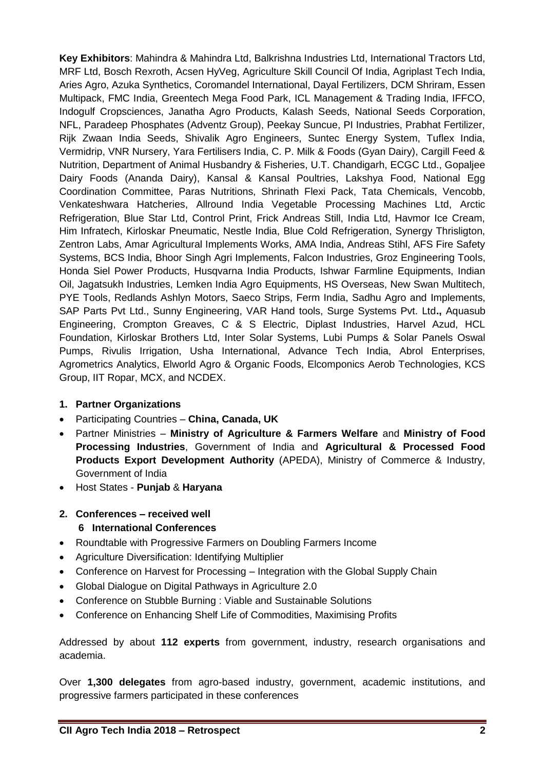**Key Exhibitors**: Mahindra & Mahindra Ltd, Balkrishna Industries Ltd, International Tractors Ltd, MRF Ltd, Bosch Rexroth, Acsen HyVeg, Agriculture Skill Council Of India, Agriplast Tech India, Aries Agro, Azuka Synthetics, Coromandel International, Dayal Fertilizers, DCM Shriram, Essen Multipack, FMC India, Greentech Mega Food Park, ICL Management & Trading India, IFFCO, Indogulf Cropsciences, Janatha Agro Products, Kalash Seeds, National Seeds Corporation, NFL, Paradeep Phosphates (Adventz Group), Peekay Suncue, PI Industries, Prabhat Fertilizer, Rijk Zwaan India Seeds, Shivalik Agro Engineers, Suntec Energy System, Tuflex India, Vermidrip, VNR Nursery, Yara Fertilisers India, C. P. Milk & Foods (Gyan Dairy), Cargill Feed & Nutrition, Department of Animal Husbandry & Fisheries, U.T. Chandigarh, ECGC Ltd., Gopaljee Dairy Foods (Ananda Dairy), Kansal & Kansal Poultries, Lakshya Food, National Egg Coordination Committee, Paras Nutritions, Shrinath Flexi Pack, Tata Chemicals, Vencobb, Venkateshwara Hatcheries, Allround India Vegetable Processing Machines Ltd, Arctic Refrigeration, Blue Star Ltd, Control Print, Frick Andreas Still, India Ltd, Havmor Ice Cream, Him Infratech, Kirloskar Pneumatic, Nestle India, Blue Cold Refrigeration, Synergy Thrisligton, Zentron Labs, Amar Agricultural Implements Works, AMA India, Andreas Stihl, AFS Fire Safety Systems, BCS India, Bhoor Singh Agri Implements, Falcon Industries, Groz Engineering Tools, Honda Siel Power Products, Husqvarna India Products, Ishwar Farmline Equipments, Indian Oil, Jagatsukh Industries, Lemken India Agro Equipments, HS Overseas, New Swan Multitech, PYE Tools, Redlands Ashlyn Motors, Saeco Strips, Ferm India, Sadhu Agro and Implements, SAP Parts Pvt Ltd., Sunny Engineering, VAR Hand tools, Surge Systems Pvt. Ltd**.,** Aquasub Engineering, Crompton Greaves, C & S Electric, Diplast Industries, Harvel Azud, HCL Foundation, Kirloskar Brothers Ltd, Inter Solar Systems, Lubi Pumps & Solar Panels Oswal Pumps, Rivulis Irrigation, Usha International, Advance Tech India, Abrol Enterprises, Agrometrics Analytics, Elworld Agro & Organic Foods, Elcomponics Aerob Technologies, KCS Group, IIT Ropar, MCX, and NCDEX.

#### **1. Partner Organizations**

- Participating Countries **China, Canada, UK**
- Partner Ministries **Ministry of Agriculture & Farmers Welfare** and **Ministry of Food Processing Industries**, Government of India and **Agricultural & Processed Food Products Export Development Authority** (APEDA), Ministry of Commerce & Industry, Government of India
- Host States **Punjab** & **Haryana**

# **2. Conferences – received well 6 International Conferences**

- Roundtable with Progressive Farmers on Doubling Farmers Income
- Agriculture Diversification: Identifying Multiplier
- Conference on Harvest for Processing Integration with the Global Supply Chain
- Global Dialogue on Digital Pathways in Agriculture 2.0
- Conference on Stubble Burning : Viable and Sustainable Solutions
- Conference on Enhancing Shelf Life of Commodities, Maximising Profits

Addressed by about **112 experts** from government, industry, research organisations and academia.

Over **1,300 delegates** from agro-based industry, government, academic institutions, and progressive farmers participated in these conferences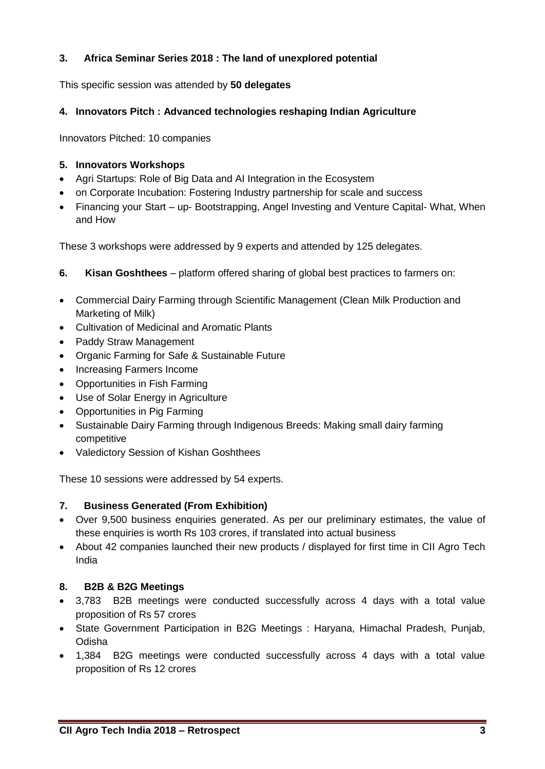## **3. Africa Seminar Series 2018 : The land of unexplored potential**

This specific session was attended by **50 delegates**

#### **4. Innovators Pitch : Advanced technologies reshaping Indian Agriculture**

Innovators Pitched: 10 companies

#### **5. Innovators Workshops**

- Agri Startups: Role of Big Data and AI Integration in the Ecosystem
- on Corporate Incubation: Fostering Industry partnership for scale and success
- Financing your Start up- Bootstrapping, Angel Investing and Venture Capital-What, When and How

These 3 workshops were addressed by 9 experts and attended by 125 delegates.

- **6. Kisan Goshthees**  platform offered sharing of global best practices to farmers on:
- Commercial Dairy Farming through Scientific Management (Clean Milk Production and Marketing of Milk)
- Cultivation of Medicinal and Aromatic Plants
- Paddy Straw Management
- Organic Farming for Safe & Sustainable Future
- Increasing Farmers Income
- Opportunities in Fish Farming
- Use of Solar Energy in Agriculture
- Opportunities in Pig Farming
- Sustainable Dairy Farming through Indigenous Breeds: Making small dairy farming competitive
- Valedictory Session of Kishan Goshthees

These 10 sessions were addressed by 54 experts.

#### **7. Business Generated (From Exhibition)**

- Over 9,500 business enquiries generated. As per our preliminary estimates, the value of these enquiries is worth Rs 103 crores, if translated into actual business
- About 42 companies launched their new products / displayed for first time in CII Agro Tech India

#### **8. B2B & B2G Meetings**

- 3,783 B2B meetings were conducted successfully across 4 days with a total value proposition of Rs 57 crores
- State Government Participation in B2G Meetings : Haryana, Himachal Pradesh, Punjab, Odisha
- 1,384 B2G meetings were conducted successfully across 4 days with a total value proposition of Rs 12 crores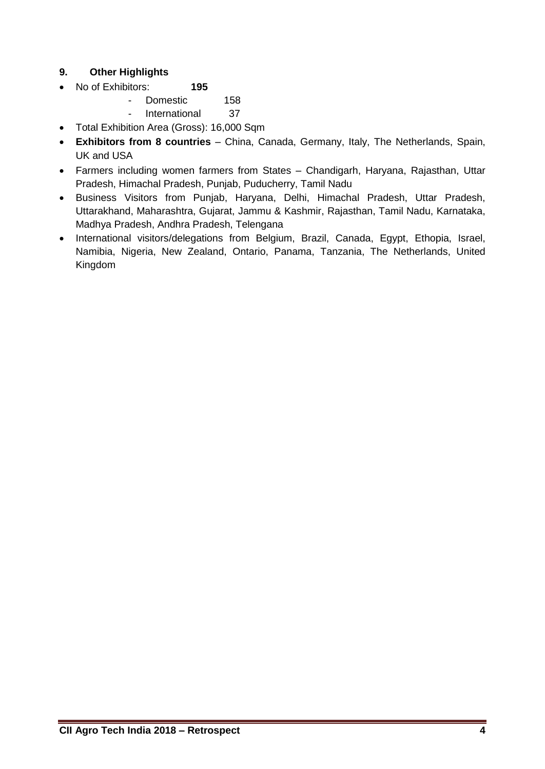### **9. Other Highlights**

- No of Exhibitors: **195**
	- Domestic 158
		- International 37
- Total Exhibition Area (Gross): 16,000 Sqm
- **Exhibitors from 8 countries** China, Canada, Germany, Italy, The Netherlands, Spain, UK and USA
- Farmers including women farmers from States Chandigarh, Haryana, Rajasthan, Uttar Pradesh, Himachal Pradesh, Punjab, Puducherry, Tamil Nadu
- Business Visitors from Punjab, Haryana, Delhi, Himachal Pradesh, Uttar Pradesh, Uttarakhand, Maharashtra, Gujarat, Jammu & Kashmir, Rajasthan, Tamil Nadu, Karnataka, Madhya Pradesh, Andhra Pradesh, Telengana
- International visitors/delegations from Belgium, Brazil, Canada, Egypt, Ethopia, Israel, Namibia, Nigeria, New Zealand, Ontario, Panama, Tanzania, The Netherlands, United Kingdom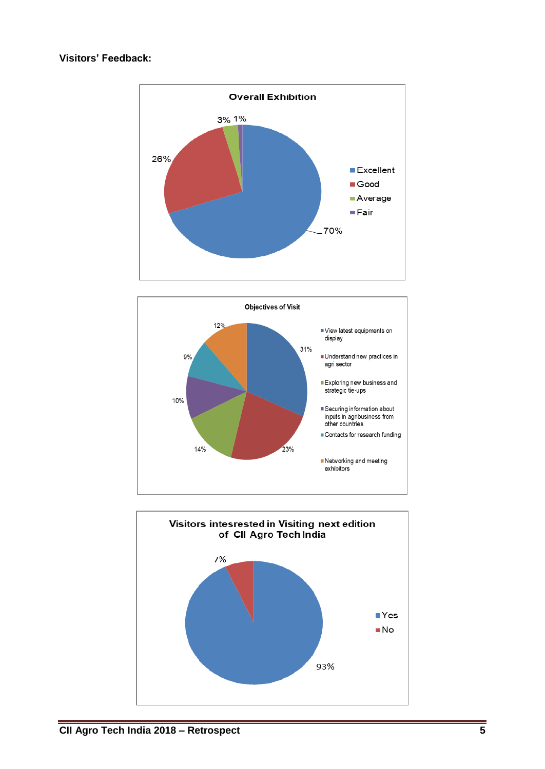#### **Visitors' Feedback:**





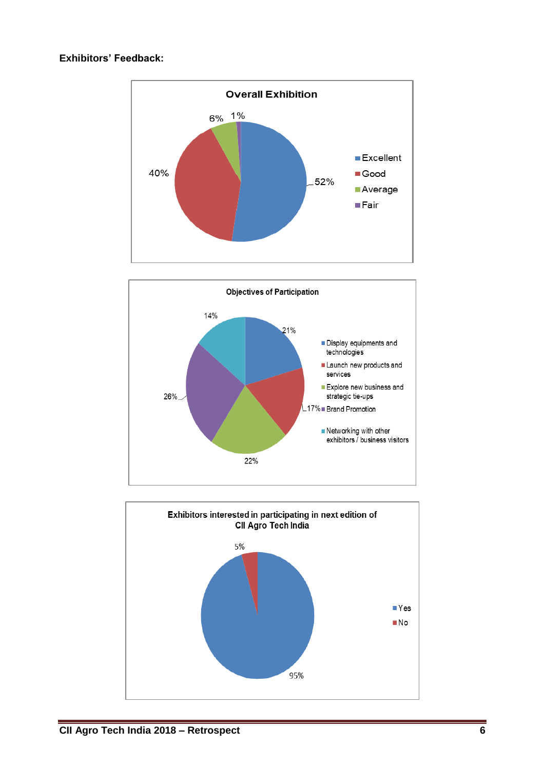#### **Exhibitors' Feedback:**